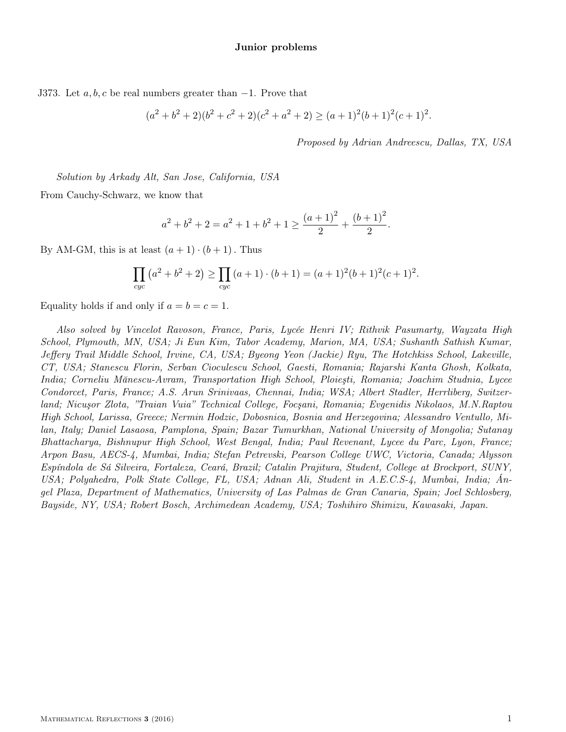J373. Let  $a, b, c$  be real numbers greater than  $-1$ . Prove that

$$
(a2 + b2 + 2)(b2 + c2 + 2)(c2 + a2 + 2) \ge (a+1)2(b+1)2(c+1)2.
$$

Proposed by Adrian Andreescu, Dallas, TX, USA

Solution by Arkady Alt, San Jose, California, USA

From Cauchy-Schwarz, we know that

$$
a^{2} + b^{2} + 2 = a^{2} + 1 + b^{2} + 1 \ge \frac{(a+1)^{2}}{2} + \frac{(b+1)^{2}}{2}.
$$

By AM-GM, this is at least  $(a+1) \cdot (b+1)$ . Thus

$$
\prod_{cyc} (a^2 + b^2 + 2) \ge \prod_{cyc} (a+1) \cdot (b+1) = (a+1)^2(b+1)^2(c+1)^2.
$$

Equality holds if and only if  $a = b = c = 1$ .

Also solved by Vincelot Ravoson, France, Paris, Lycée Henri IV; Rithvik Pasumarty, Wayzata High School, Plymouth, MN, USA; Ji Eun Kim, Tabor Academy, Marion, MA, USA; Sushanth Sathish Kumar, Jeffery Trail Middle School, Irvine, CA, USA; Byeong Yeon (Jackie) Ryu, The Hotchkiss School, Lakeville, CT, USA; Stanescu Florin, Serban Cioculescu School, Gaesti, Romania; Rajarshi Kanta Ghosh, Kolkata, India; Corneliu Mănescu-Avram, Transportation High School, Ploieşti, Romania; Joachim Studnia, Lycee Condorcet, Paris, France; A.S. Arun Srinivaas, Chennai, India; WSA; Albert Stadler, Herrliberg, Switzerland; Nicuşor Zlota' "Traian Vuia" Technical College, Focşani, Romania; Evgenidis Nikolaos, M.N.Raptou High School, Larissa, Greece; Nermin Hodzic, Dobosnica, Bosnia and Herzegovina; Alessandro Ventullo, Milan, Italy; Daniel Lasaosa, Pamplona, Spain; Bazar Tumurkhan, National University of Mongolia; Sutanay Bhattacharya, Bishnupur High School, West Bengal, India; Paul Revenant, Lycee du Parc, Lyon, France; Arpon Basu, AECS-4, Mumbai, India; Stefan Petrevski, Pearson College UWC, Victoria, Canada; Alysson Espíndola de Sá Silveira, Fortaleza, Ceará, Brazil; Catalin Prajitura, Student, College at Brockport, SUNY, USA; Polyahedra, Polk State College, FL, USA; Adnan Ali, Student in A.E.C.S-4, Mumbai, India; Ángel Plaza, Department of Mathematics, University of Las Palmas de Gran Canaria, Spain; Joel Schlosberg, Bayside, NY, USA; Robert Bosch, Archimedean Academy, USA; Toshihiro Shimizu, Kawasaki, Japan.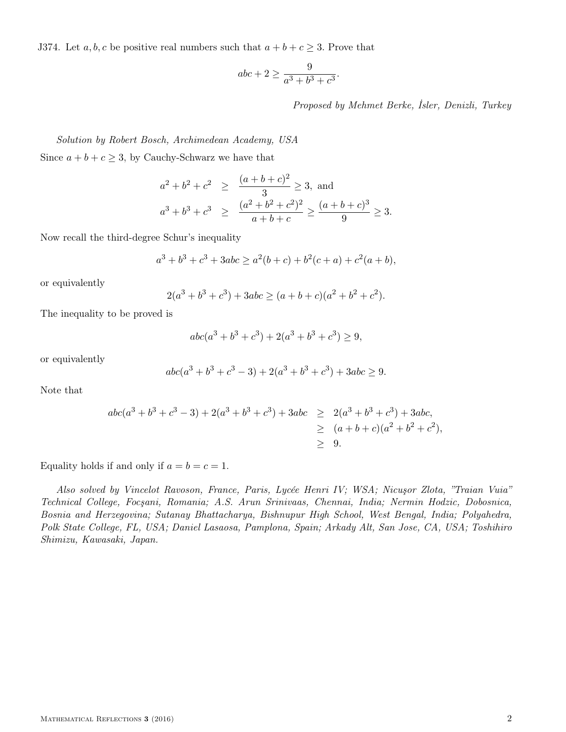J374. Let  $a, b, c$  be positive real numbers such that  $a + b + c \geq 3$ . Prove that

$$
abc + 2 \ge \frac{9}{a^3 + b^3 + c^3}.
$$

Proposed by Mehmet Berke, İsler, Denizli, Turkey

Solution by Robert Bosch, Archimedean Academy, USA Since  $a + b + c \geq 3$ , by Cauchy-Schwarz we have that

$$
a^{2} + b^{2} + c^{2} \ge \frac{(a+b+c)^{2}}{3} \ge 3, \text{ and}
$$
  

$$
a^{3} + b^{3} + c^{3} \ge \frac{(a^{2} + b^{2} + c^{2})^{2}}{a+b+c} \ge \frac{(a+b+c)^{3}}{9} \ge 3.
$$

Now recall the third-degree Schur's inequality

$$
a^3 + b^3 + c^3 + 3abc \ge a^2(b+c) + b^2(c+a) + c^2(a+b),
$$

or equivalently

$$
2(a3 + b3 + c3) + 3abc \ge (a + b + c)(a2 + b2 + c2).
$$

The inequality to be proved is

$$
abc(a3 + b3 + c3) + 2(a3 + b3 + c3) \ge 9,
$$

or equivalently

$$
abc(a3 + b3 + c3 - 3) + 2(a3 + b3 + c3) + 3abc \ge 9.
$$

Note that

$$
abc(a3 + b3 + c3 - 3) + 2(a3 + b3 + c3) + 3abc \ge 2(a3 + b3 + c3) + 3abc,\ge (a + b + c)(a2 + b2 + c2),\ge 9.
$$

Equality holds if and only if  $a = b = c = 1$ .

Also solved by Vincelot Ravoson, France, Paris, Lycée Henri IV; WSA; Nicuşor Zlota, "Traian Vuia" Technical College, Focşani, Romania; A.S. Arun Srinivaas, Chennai, India; Nermin Hodzic, Dobosnica, Bosnia and Herzegovina; Sutanay Bhattacharya, Bishnupur High School, West Bengal, India; Polyahedra, Polk State College, FL, USA; Daniel Lasaosa, Pamplona, Spain; Arkady Alt, San Jose, CA, USA; Toshihiro Shimizu, Kawasaki, Japan.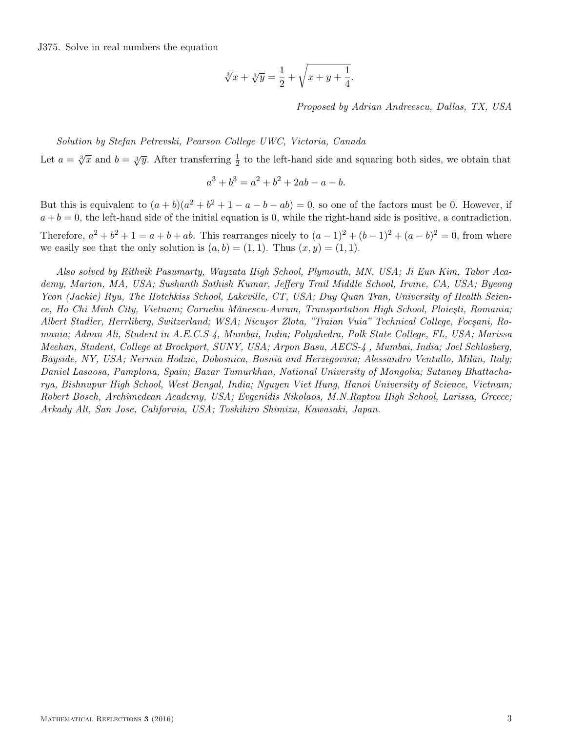J375. Solve in real numbers the equation

$$
\sqrt[3]{x} + \sqrt[3]{y} = \frac{1}{2} + \sqrt{x+y+\frac{1}{4}}
$$

Proposed by Adrian Andreescu, Dallas, TX, USA

.

## Solution by Stefan Petrevski, Pearson College UWC, Victoria, Canada

Let  $a = \sqrt[3]{x}$  and  $b = \sqrt[3]{y}$ . After transferring  $\frac{1}{2}$  to the left-hand side and squaring both sides, we obtain that

$$
a^3 + b^3 = a^2 + b^2 + 2ab - a - b.
$$

But this is equivalent to  $(a + b)(a^2 + b^2 + 1 - a - b - ab) = 0$ , so one of the factors must be 0. However, if  $a + b = 0$ , the left-hand side of the initial equation is 0, while the right-hand side is positive, a contradiction.

Therefore,  $a^2 + b^2 + 1 = a + b + ab$ . This rearranges nicely to  $(a-1)^2 + (b-1)^2 + (a-b)^2 = 0$ , from where we easily see that the only solution is  $(a, b) = (1, 1)$ . Thus  $(x, y) = (1, 1)$ .

Also solved by Rithvik Pasumarty, Wayzata High School, Plymouth, MN, USA; Ji Eun Kim, Tabor Academy, Marion, MA, USA; Sushanth Sathish Kumar, Jeffery Trail Middle School, Irvine, CA, USA; Byeong Yeon (Jackie) Ryu, The Hotchkiss School, Lakeville, CT, USA; Duy Quan Tran, University of Health Science, Ho Chi Minh City, Vietnam; Corneliu Mănescu-Avram, Transportation High School, Ploieşti, Romania; Albert Stadler, Herrliberg, Switzerland; WSA; Nicuşor Zlota, "Traian Vuia" Technical College, Focşani, Romania; Adnan Ali, Student in A.E.C.S-4, Mumbai, India; Polyahedra, Polk State College, FL, USA; Marissa Meehan, Student, College at Brockport, SUNY, USA; Arpon Basu, AECS-4 , Mumbai, India; Joel Schlosberg, Bayside, NY, USA; Nermin Hodzic, Dobosnica, Bosnia and Herzegovina; Alessandro Ventullo, Milan, Italy; Daniel Lasaosa, Pamplona, Spain; Bazar Tumurkhan, National University of Mongolia; Sutanay Bhattacharya, Bishnupur High School, West Bengal, India; Nguyen Viet Hung, Hanoi University of Science, Vietnam; Robert Bosch, Archimedean Academy, USA; Evgenidis Nikolaos, M.N.Raptou High School, Larissa, Greece; Arkady Alt, San Jose, California, USA; Toshihiro Shimizu, Kawasaki, Japan.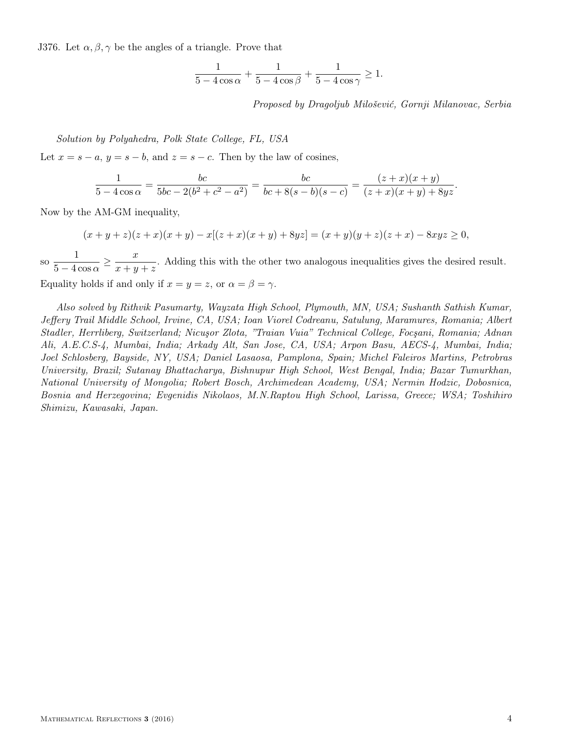J376. Let  $\alpha, \beta, \gamma$  be the angles of a triangle. Prove that

$$
\frac{1}{5-4\cos\alpha}+\frac{1}{5-4\cos\beta}+\frac{1}{5-4\cos\gamma}\geq 1.
$$

Proposed by Dragoljub Milošević, Gornji Milanovac, Serbia

## Solution by Polyahedra, Polk State College, FL, USA

Let  $x = s - a$ ,  $y = s - b$ , and  $z = s - c$ . Then by the law of cosines,

$$
\frac{1}{5 - 4\cos\alpha} = \frac{bc}{5bc - 2(b^2 + c^2 - a^2)} = \frac{bc}{bc + 8(s - b)(s - c)} = \frac{(z + x)(x + y)}{(z + x)(x + y) + 8yz}.
$$

Now by the AM-GM inequality,

$$
(x+y+z)(z+x)(x+y) - x[(z+x)(x+y) + 8yz] = (x+y)(y+z)(z+x) - 8xyz \ge 0,
$$

so  $\frac{1}{5}$  $\frac{1}{5-4\cos\alpha} \geq \frac{x}{x+y}$  $\frac{x}{x+y+z}$ . Adding this with the other two analogous inequalities gives the desired result. Equality holds if and only if  $x = y = z$ , or  $\alpha = \beta = \gamma$ .

Also solved by Rithvik Pasumarty, Wayzata High School, Plymouth, MN, USA; Sushanth Sathish Kumar, Jeffery Trail Middle School, Irvine, CA, USA; Ioan Viorel Codreanu, Satulung, Maramures, Romania; Albert Stadler, Herrliberg, Switzerland; Nicuşor Zlota' "Traian Vuia" Technical College, Focşani, Romania; Adnan Ali, A.E.C.S-4, Mumbai, India; Arkady Alt, San Jose, CA, USA; Arpon Basu, AECS-4, Mumbai, India; Joel Schlosberg, Bayside, NY, USA; Daniel Lasaosa, Pamplona, Spain; Michel Faleiros Martins, Petrobras University, Brazil; Sutanay Bhattacharya, Bishnupur High School, West Bengal, India; Bazar Tumurkhan, National University of Mongolia; Robert Bosch, Archimedean Academy, USA; Nermin Hodzic, Dobosnica, Bosnia and Herzegovina; Evgenidis Nikolaos, M.N.Raptou High School, Larissa, Greece; WSA; Toshihiro Shimizu, Kawasaki, Japan.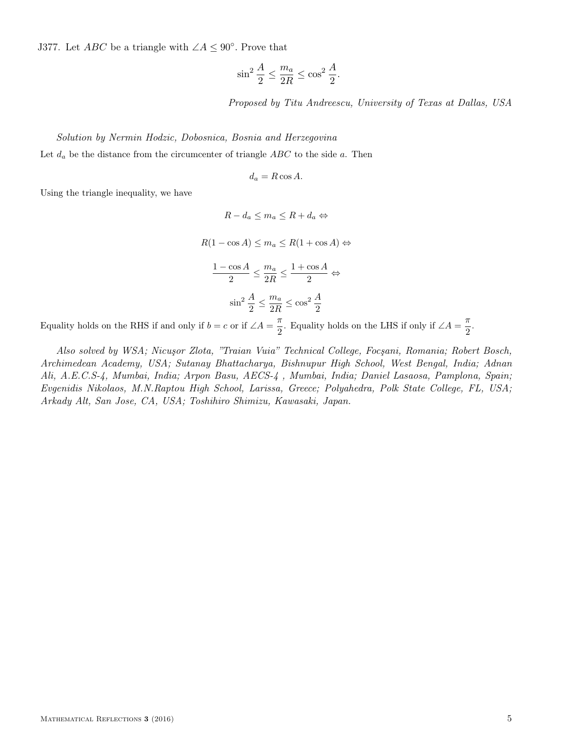J377. Let *ABC* be a triangle with  $\angle A \leq 90^\circ$ . Prove that

$$
\sin^2 \frac{A}{2} \le \frac{m_a}{2R} \le \cos^2 \frac{A}{2}.
$$

Proposed by Titu Andreescu, University of Texas at Dallas, USA

# Solution by Nermin Hodzic, Dobosnica, Bosnia and Herzegovina Let  $d_a$  be the distance from the circumcenter of triangle  $ABC$  to the side a. Then

$$
d_a = R\cos A.
$$

Using the triangle inequality, we have

 $R - d_a \leq m_a \leq R + d_a \Leftrightarrow$  $R(1 - \cos A) \le m_a \le R(1 + \cos A) \Leftrightarrow$  $1 - \cos A$  $\frac{\cos A}{2} \leq \frac{m_a}{2R}$  $\frac{m_a}{2R} \leq \frac{1+\cos A}{2}$  $\frac{1}{2}$   $\Leftrightarrow$  $\sin^2 \frac{A}{2} \leq \frac{m_a}{2R}$  $\frac{m_a}{2R} \leq \cos^2 \frac{A}{2}$ 

Equality holds on the RHS if and only if  $b = c$  or if  $\angle A = \frac{\pi}{2}$  $\frac{\pi}{2}$ . Equality holds on the LHS if only if  $\angle A = \frac{\pi}{2}$  $\frac{1}{2}$ .

Also solved by WSA; Nicușor Zlota, "Traian Vuia" Technical College, Focșani, Romania; Robert Bosch, Archimedean Academy, USA; Sutanay Bhattacharya, Bishnupur High School, West Bengal, India; Adnan Ali, A.E.C.S-4, Mumbai, India; Arpon Basu, AECS-4 , Mumbai, India; Daniel Lasaosa, Pamplona, Spain; Evgenidis Nikolaos, M.N.Raptou High School, Larissa, Greece; Polyahedra, Polk State College, FL, USA; Arkady Alt, San Jose, CA, USA; Toshihiro Shimizu, Kawasaki, Japan.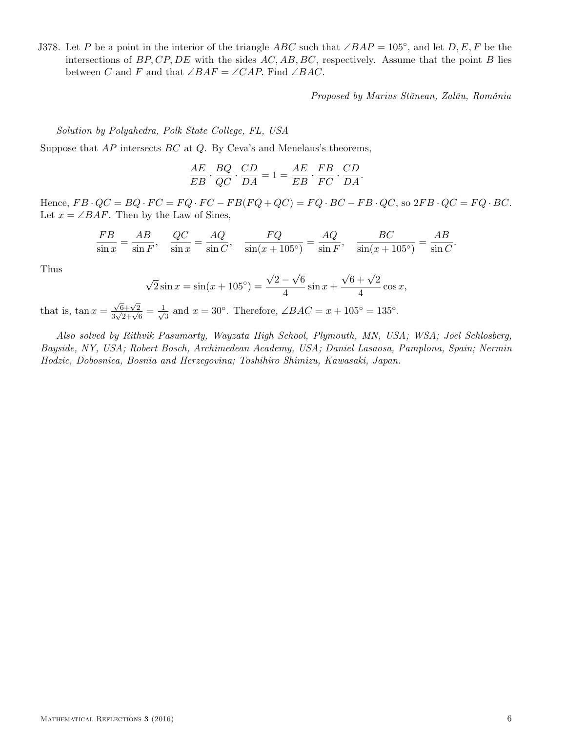J378. Let P be a point in the interior of the triangle ABC such that  $\angle BAP = 105^{\circ}$ , and let  $D, E, F$  be the intersections of  $BP, CP, DE$  with the sides  $AC, AB, BC$ , respectively. Assume that the point B lies between C and F and that  $\angle BAF = \angle CAP$ . Find  $\angle BAC$ .

Proposed by Marius Stănean, Zalău, România

Solution by Polyahedra, Polk State College, FL, USA

Suppose that  $AP$  intersects  $BC$  at  $Q$ . By Ceva's and Menelaus's theorems,

$$
\frac{AE}{EB} \cdot \frac{BQ}{QC} \cdot \frac{CD}{DA} = 1 = \frac{AE}{EB} \cdot \frac{FB}{FC} \cdot \frac{CD}{DA}.
$$

Hence,  $FB \cdot QC = BQ \cdot FC = FQ \cdot FC - FB(FQ + QC) = FQ \cdot BC - FB \cdot QC$ , so  $2FB \cdot QC = FQ \cdot BC$ . Let  $x = \angle BAF$ . Then by the Law of Sines,

$$
\frac{FB}{\sin x} = \frac{AB}{\sin F}, \quad \frac{QC}{\sin x} = \frac{AQ}{\sin C}, \quad \frac{FQ}{\sin(x+105^\circ)} = \frac{AQ}{\sin F}, \quad \frac{BC}{\sin(x+105^\circ)} = \frac{AB}{\sin C}.
$$

Thus

$$
\sqrt{2}\sin x = \sin(x+105^{\circ}) = \frac{\sqrt{2}-\sqrt{6}}{4}\sin x + \frac{\sqrt{6}+\sqrt{2}}{4}\cos x,
$$

that is,  $\tan x =$  $\sqrt{6}+\sqrt{2}$  $\frac{\sqrt{6}+\sqrt{2}}{3\sqrt{2}+\sqrt{6}}=\frac{1}{\sqrt{2}}$  $\frac{1}{3}$  and  $x = 30^\circ$ . Therefore, ∠*BAC* =  $x + 105^\circ = 135^\circ$ .

Also solved by Rithvik Pasumarty, Wayzata High School, Plymouth, MN, USA; WSA; Joel Schlosberg, Bayside, NY, USA; Robert Bosch, Archimedean Academy, USA; Daniel Lasaosa, Pamplona, Spain; Nermin Hodzic, Dobosnica, Bosnia and Herzegovina; Toshihiro Shimizu, Kawasaki, Japan.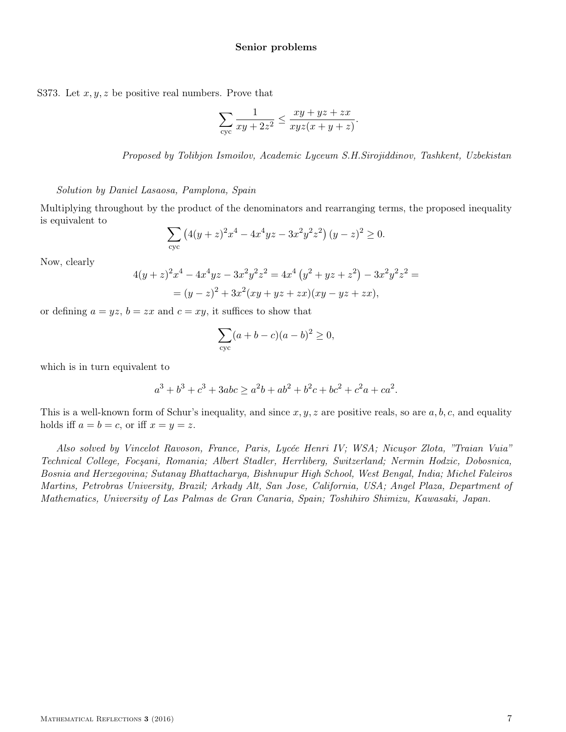## Senior problems

S373. Let  $x, y, z$  be positive real numbers. Prove that

$$
\sum_{\text{cyc}} \frac{1}{xy + 2z^2} \le \frac{xy + yz + zx}{xyz(x + y + z)}.
$$

Proposed by Tolibjon Ismoilov, Academic Lyceum S.H.Sirojiddinov, Tashkent, Uzbekistan

## Solution by Daniel Lasaosa, Pamplona, Spain

Multiplying throughout by the product of the denominators and rearranging terms, the proposed inequality is equivalent to

$$
\sum_{\text{cyc}} \left( 4(y+z)^2 x^4 - 4x^4 yz - 3x^2 y^2 z^2 \right) (y-z)^2 \ge 0.
$$

Now, clearly

$$
4(y+z)^2x^4 - 4x^4yz - 3x^2y^2z^2 = 4x^4(y^2 + yz + z^2) - 3x^2y^2z^2 =
$$
  
=  $(y-z)^2 + 3x^2(xy + yz + zx)(xy - yz + zx),$ 

or defining  $a = yz$ ,  $b = zx$  and  $c = xy$ , it suffices to show that

$$
\sum_{\text{cyc}} (a+b-c)(a-b)^2 \ge 0,
$$

which is in turn equivalent to

$$
a^3 + b^3 + c^3 + 3abc \ge a^2b + ab^2 + b^2c + bc^2 + c^2a + ca^2.
$$

This is a well-known form of Schur's inequality, and since  $x, y, z$  are positive reals, so are  $a, b, c$ , and equality holds iff  $a = b = c$ , or iff  $x = y = z$ .

Also solved by Vincelot Ravoson, France, Paris, Lycée Henri IV; WSA; Nicuşor Zlota, "Traian Vuia" Technical College, Focşani, Romania; Albert Stadler, Herrliberg, Switzerland; Nermin Hodzic, Dobosnica, Bosnia and Herzegovina; Sutanay Bhattacharya, Bishnupur High School, West Bengal, India; Michel Faleiros Martins, Petrobras University, Brazil; Arkady Alt, San Jose, California, USA; Angel Plaza, Department of Mathematics, University of Las Palmas de Gran Canaria, Spain; Toshihiro Shimizu, Kawasaki, Japan.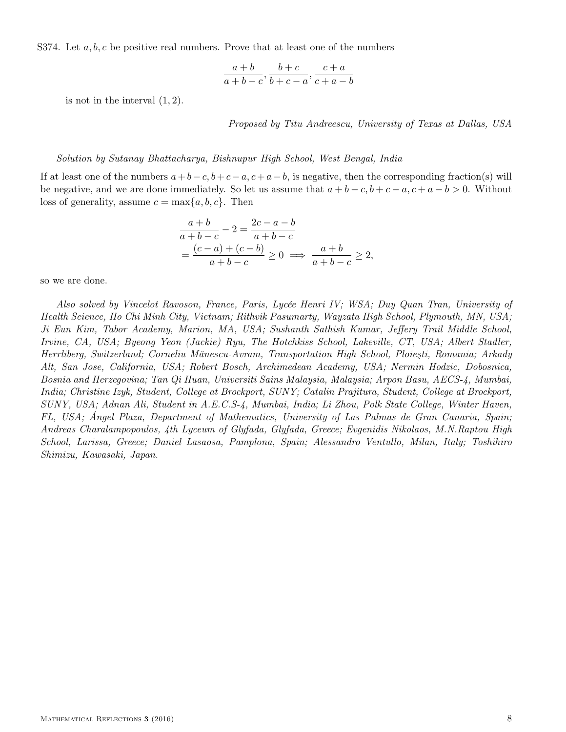S374. Let  $a, b, c$  be positive real numbers. Prove that at least one of the numbers

$$
\frac{a+b}{a+b-c}, \frac{b+c}{b+c-a}, \frac{c+a}{c+a-b}
$$

is not in the interval  $(1, 2)$ .

Proposed by Titu Andreescu, University of Texas at Dallas, USA

#### Solution by Sutanay Bhattacharya, Bishnupur High School, West Bengal, India

If at least one of the numbers  $a+b-c$ ,  $b+c-a$ ,  $c+a-b$ , is negative, then the corresponding fraction(s) will be negative, and we are done immediately. So let us assume that  $a + b - c$ ,  $b + c - a$ ,  $c + a - b > 0$ . Without loss of generality, assume  $c = \max\{a, b, c\}$ . Then

$$
\frac{a+b}{a+b-c} - 2 = \frac{2c-a-b}{a+b-c}
$$

$$
= \frac{(c-a)+(c-b)}{a+b-c} \ge 0 \implies \frac{a+b}{a+b-c} \ge 2,
$$

so we are done.

Also solved by Vincelot Ravoson, France, Paris, Lycée Henri IV; WSA; Duy Quan Tran, University of Health Science, Ho Chi Minh City, Vietnam; Rithvik Pasumarty, Wayzata High School, Plymouth, MN, USA; Ji Eun Kim, Tabor Academy, Marion, MA, USA; Sushanth Sathish Kumar, Jeffery Trail Middle School, Irvine, CA, USA; Byeong Yeon (Jackie) Ryu, The Hotchkiss School, Lakeville, CT, USA; Albert Stadler, Herrliberg, Switzerland; Corneliu Mănescu-Avram, Transportation High School, Ploieşti, Romania; Arkady Alt, San Jose, California, USA; Robert Bosch, Archimedean Academy, USA; Nermin Hodzic, Dobosnica, Bosnia and Herzegovina; Tan Qi Huan, Universiti Sains Malaysia, Malaysia; Arpon Basu, AECS-4, Mumbai, India; Christine Izyk, Student, College at Brockport, SUNY; Catalin Prajitura, Student, College at Brockport, SUNY, USA; Adnan Ali, Student in A.E.C.S-4, Mumbai, India; Li Zhou, Polk State College, Winter Haven, FL, USA; Ángel Plaza, Department of Mathematics, University of Las Palmas de Gran Canaria, Spain; Andreas Charalampopoulos, 4th Lyceum of Glyfada, Glyfada, Greece; Evgenidis Nikolaos, M.N.Raptou High School, Larissa, Greece; Daniel Lasaosa, Pamplona, Spain; Alessandro Ventullo, Milan, Italy; Toshihiro Shimizu, Kawasaki, Japan.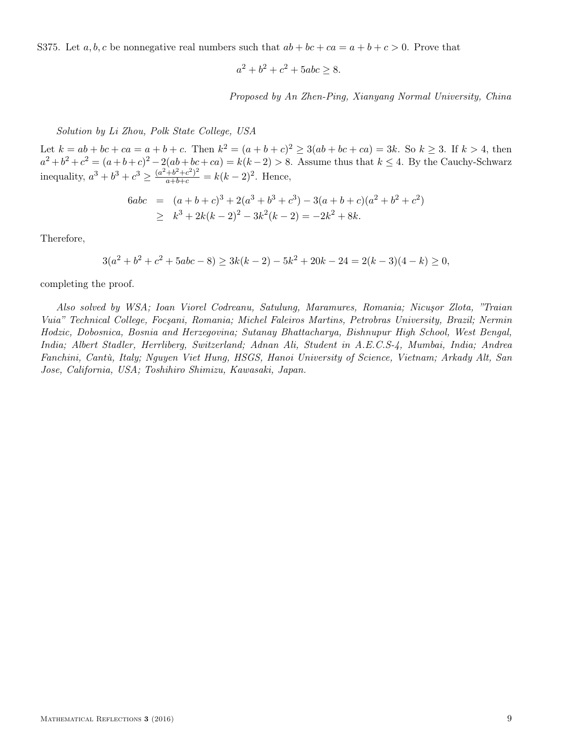S375. Let  $a, b, c$  be nonnegative real numbers such that  $ab + bc + ca = a + b + c > 0$ . Prove that

$$
a^2 + b^2 + c^2 + 5abc \ge 8.
$$

Proposed by An Zhen-Ping, Xianyang Normal University, China

Solution by Li Zhou, Polk State College, USA

Let  $k = ab + bc + ca = a + b + c$ . Then  $k^2 = (a + b + c)^2 \ge 3(ab + bc + ca) = 3k$ . So  $k \ge 3$ . If  $k > 4$ , then  $a^2 + b^2 + c^2 = (a + b + c)^2 - 2(ab + bc + ca) = k(k - 2) > 8$ . Assume thus that  $k \le 4$ . By the Cauchy-Schwarz inequality,  $a^3 + b^3 + c^3 \ge \frac{(a^2 + b^2 + c^2)^2}{a + b + c} = k(k-2)^2$ . Hence,

$$
6abc = (a+b+c)^3 + 2(a^3+b^3+c^3) - 3(a+b+c)(a^2+b^2+c^2)
$$
  
\n
$$
\geq k^3 + 2k(k-2)^2 - 3k^2(k-2) = -2k^2 + 8k.
$$

Therefore,

$$
3(a2 + b2 + c2 + 5abc - 8) \ge 3k(k - 2) - 5k2 + 20k - 24 = 2(k - 3)(4 - k) \ge 0,
$$

completing the proof.

Also solved by WSA; Ioan Viorel Codreanu, Satulung, Maramures, Romania; Nicuşor Zlota, "Traian Vuia" Technical College, Focşani, Romania; Michel Faleiros Martins, Petrobras University, Brazil; Nermin Hodzic, Dobosnica, Bosnia and Herzegovina; Sutanay Bhattacharya, Bishnupur High School, West Bengal, India; Albert Stadler, Herrliberg, Switzerland; Adnan Ali, Student in A.E.C.S-4, Mumbai, India; Andrea Fanchini, Cantù, Italy; Nguyen Viet Hung, HSGS, Hanoi University of Science, Vietnam; Arkady Alt, San Jose, California, USA; Toshihiro Shimizu, Kawasaki, Japan.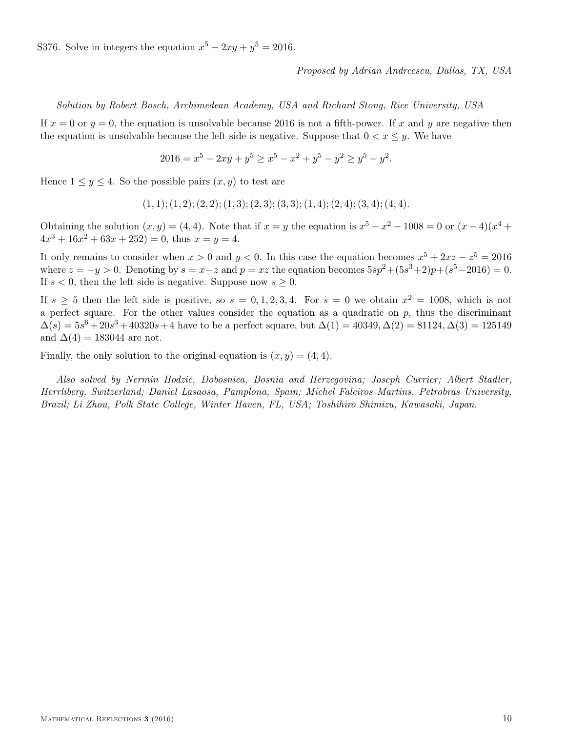S376. Solve in integers the equation  $x^5 - 2xy + y^5 = 2016$ .

Proposed by Adrian Andreescu, Dallas, TX, USA

Solution by Robert Bosch, Archimedean Academy, USA and Richard Stong, Rice University, USA

If  $x = 0$  or  $y = 0$ , the equation is unsolvable because 2016 is not a fifth-power. If x and y are negative then the equation is unsolvable because the left side is negative. Suppose that  $0 < x \leq y$ . We have

 $2016 = x^5 - 2xy + y^5 \ge x^5 - x^2 + y^5 - y^2 \ge y^5 - y^2.$ 

Hence  $1 \leq y \leq 4$ . So the possible pairs  $(x, y)$  to test are

$$
(1, 1); (1, 2); (2, 2); (1, 3); (2, 3); (3, 3); (1, 4); (2, 4); (3, 4); (4, 4).
$$

Obtaining the solution  $(x, y) = (4, 4)$ . Note that if  $x = y$  the equation is  $x^5 - x^2 - 1008 = 0$  or  $(x - 4)(x^4 +$  $4x^3 + 16x^2 + 63x + 252 = 0$ , thus  $x = y = 4$ .

It only remains to consider when  $x > 0$  and  $y < 0$ . In this case the equation becomes  $x^5 + 2xz - z^5 = 2016$ where  $z = -y > 0$ . Denoting by  $s = x - z$  and  $p = xz$  the equation becomes  $5sp^2 + (5s^3 + 2)p + (s^5 - 2016) = 0$ . If  $s < 0$ , then the left side is negative. Suppose now  $s \geq 0$ .

If  $s \geq 5$  then the left side is positive, so  $s = 0, 1, 2, 3, 4$ . For  $s = 0$  we obtain  $x^2 = 1008$ , which is not a perfect square. For the other values consider the equation as a quadratic on  $p$ , thus the discriminant  $\Delta(s) = 5s^6 + 20s^3 + 40320s + 4$  have to be a perfect square, but  $\Delta(1) = 40349, \Delta(2) = 81124, \Delta(3) = 125149$ and  $\Delta(4) = 183044$  are not.

Finally, the only solution to the original equation is  $(x, y) = (4, 4)$ .

Also solved by Nermin Hodzic, Dobosnica, Bosnia and Herzegovina; Joseph Currier; Albert Stadler, Herrliberg, Switzerland; Daniel Lasaosa, Pamplona, Spain; Michel Faleiros Martins, Petrobras University, Brazil; Li Zhou, Polk State College, Winter Haven, FL, USA; Toshihiro Shimizu, Kawasaki, Japan.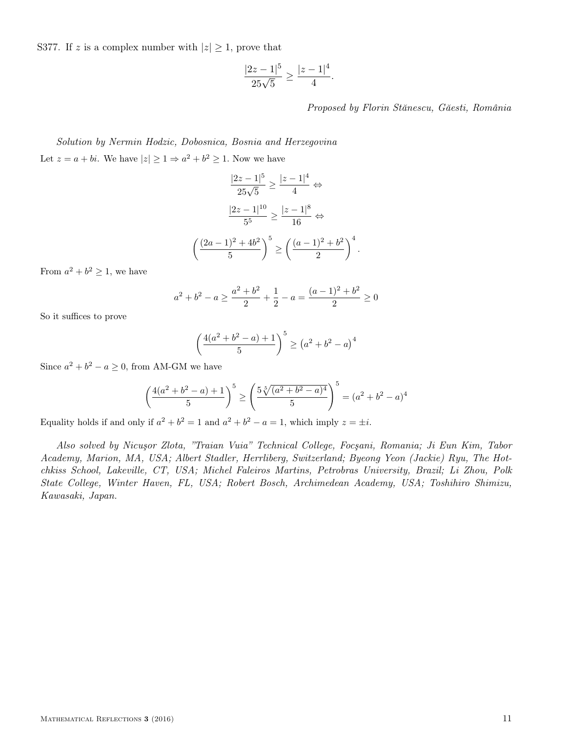S377. If z is a complex number with  $|z| \geq 1$ , prove that

$$
\frac{|2z-1|^5}{25\sqrt{5}} \ge \frac{|z-1|^4}{4}.
$$

Proposed by Florin Stănescu, Găesti, România

Solution by Nermin Hodzic, Dobosnica, Bosnia and Herzegovina Let  $z = a + bi$ . We have  $|z| \geq 1 \Rightarrow a^2 + b^2 \geq 1$ . Now we have

$$
\frac{|2z-1|^5}{25\sqrt{5}} \ge \frac{|z-1|^4}{4} \Leftrightarrow
$$

$$
\frac{|2z-1|^{10}}{5^5} \ge \frac{|z-1|^8}{16} \Leftrightarrow
$$

$$
\left(\frac{(2a-1)^2 + 4b^2}{5}\right)^5 \ge \left(\frac{(a-1)^2 + b^2}{2}\right)^4.
$$

From  $a^2 + b^2 \ge 1$ , we have

$$
a^{2} + b^{2} - a \ge \frac{a^{2} + b^{2}}{2} + \frac{1}{2} - a = \frac{(a - 1)^{2} + b^{2}}{2} \ge 0
$$

So it suffices to prove

$$
\left(\frac{4(a^2 + b^2 - a) + 1}{5}\right)^5 \ge (a^2 + b^2 - a)^4
$$

Since  $a^2 + b^2 - a \ge 0$ , from AM-GM we have

$$
\left(\frac{4(a^2+b^2-a)+1}{5}\right)^5 \ge \left(\frac{5\sqrt[5]{(a^2+b^2-a)^4}}{5}\right)^5 = (a^2+b^2-a)^4
$$

Equality holds if and only if  $a^2 + b^2 = 1$  and  $a^2 + b^2 - a = 1$ , which imply  $z = \pm i$ .

Also solved by Nicuşor Zlota' "Traian Vuia" Technical College, Focşani, Romania; Ji Eun Kim, Tabor Academy, Marion, MA, USA; Albert Stadler, Herrliberg, Switzerland; Byeong Yeon (Jackie) Ryu, The Hotchkiss School, Lakeville, CT, USA; Michel Faleiros Martins, Petrobras University, Brazil; Li Zhou, Polk State College, Winter Haven, FL, USA; Robert Bosch, Archimedean Academy, USA; Toshihiro Shimizu, Kawasaki, Japan.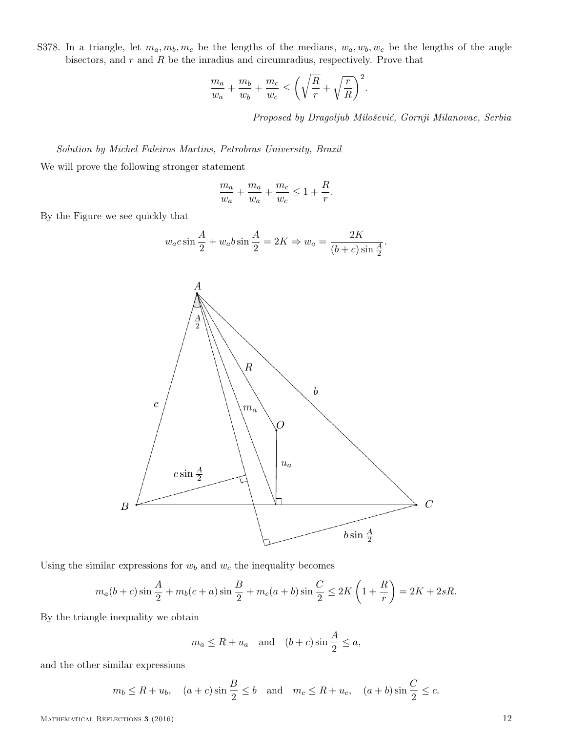S378. In a triangle, let  $m_a, m_b, m_c$  be the lengths of the medians,  $w_a, w_b, w_c$  be the lengths of the angle bisectors, and  $r$  and  $R$  be the inradius and circumradius, respectively. Prove that

$$
\frac{m_a}{w_a} + \frac{m_b}{w_b} + \frac{m_c}{w_c} \le \left(\sqrt{\frac{R}{r}} + \sqrt{\frac{r}{R}}\right)^2.
$$

Proposed by Dragoljub Milošević, Gornji Milanovac, Serbia

Solution by Michel Faleiros Martins, Petrobras University, Brazil

We will prove the following stronger statement

$$
\frac{m_a}{w_a} + \frac{m_a}{w_a} + \frac{m_c}{w_c} \leq 1 + \frac{R}{r}.
$$

By the Figure we see quickly that

$$
w_a c \sin \frac{A}{2} + w_a b \sin \frac{A}{2} = 2K \Rightarrow w_a = \frac{2K}{(b+c)\sin \frac{A}{2}}.
$$



Using the similar expressions for  $w_b$  and  $w_c$  the inequality becomes

$$
m_a(b+c)\sin\frac{A}{2} + m_b(c+a)\sin\frac{B}{2} + m_c(a+b)\sin\frac{C}{2} \le 2K\left(1+\frac{R}{r}\right) = 2K + 2sR.
$$

By the triangle inequality we obtain

$$
m_a \le R + u_a
$$
 and  $(b+c) \sin \frac{A}{2} \le a$ ,

and the other similar expressions

$$
m_b \le R + u_b
$$
,  $(a + c) \sin \frac{B}{2} \le b$  and  $m_c \le R + u_c$ ,  $(a + b) \sin \frac{C}{2} \le c$ .

MATHEMATICAL REFLECTIONS 3 (2016) 12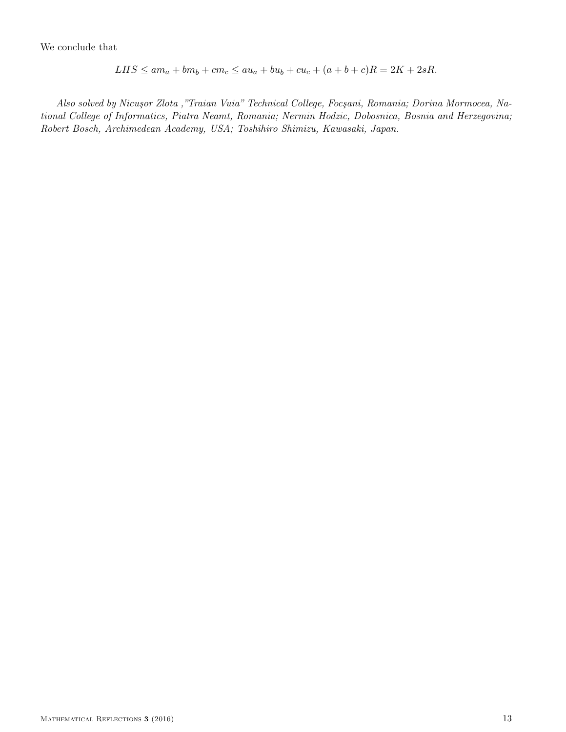$$
LHS \le am_a + bm_b + cm_c \le au_a + bu_b + cu_c + (a + b + c)R = 2K + 2sR.
$$

Also solved by Nicuşor Zlota '"Traian Vuia" Technical College, Focşani, Romania; Dorina Mormocea, National College of Informatics, Piatra Neamt, Romania; Nermin Hodzic, Dobosnica, Bosnia and Herzegovina; Robert Bosch, Archimedean Academy, USA; Toshihiro Shimizu, Kawasaki, Japan.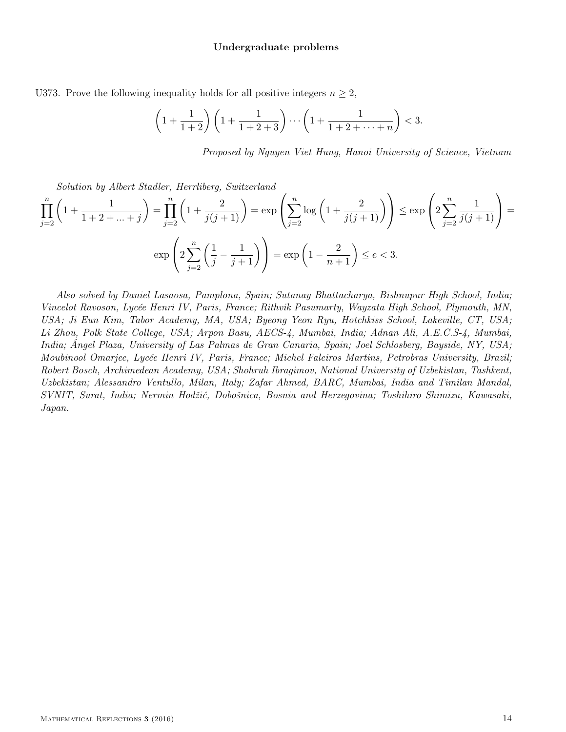## Undergraduate problems

U373. Prove the following inequality holds for all positive integers  $n \geq 2$ ,

$$
\left(1 + \frac{1}{1+2}\right)\left(1 + \frac{1}{1+2+3}\right)\cdots\left(1 + \frac{1}{1+2+\cdots+n}\right) < 3.
$$

Proposed by Nguyen Viet Hung, Hanoi University of Science, Vietnam

Solution by Albert Stadler, Herrliberg, Switzerland

$$
\prod_{j=2}^{n} \left( 1 + \frac{1}{1+2+\dots+j} \right) = \prod_{j=2}^{n} \left( 1 + \frac{2}{j(j+1)} \right) = \exp\left( \sum_{j=2}^{n} \log\left( 1 + \frac{2}{j(j+1)} \right) \right) \le \exp\left( 2 \sum_{j=2}^{n} \frac{1}{j(j+1)} \right) = \exp\left( 2 \sum_{j=2}^{n} \left( \frac{1}{j} - \frac{1}{j+1} \right) \right) = \exp\left( 1 - \frac{2}{n+1} \right) \le e < 3.
$$

Also solved by Daniel Lasaosa, Pamplona, Spain; Sutanay Bhattacharya, Bishnupur High School, India; Vincelot Ravoson, Lycée Henri IV, Paris, France; Rithvik Pasumarty, Wayzata High School, Plymouth, MN, USA; Ji Eun Kim, Tabor Academy, MA, USA; Byeong Yeon Ryu, Hotchkiss School, Lakeville, CT, USA; Li Zhou, Polk State College, USA; Arpon Basu, AECS-4, Mumbai, India; Adnan Ali, A.E.C.S-4, Mumbai, India; Ángel Plaza, University of Las Palmas de Gran Canaria, Spain; Joel Schlosberg, Bayside, NY, USA; Moubinool Omarjee, Lycée Henri IV, Paris, France; Michel Faleiros Martins, Petrobras University, Brazil; Robert Bosch, Archimedean Academy, USA; Shohruh Ibragimov, National University of Uzbekistan, Tashkent, Uzbekistan; Alessandro Ventullo, Milan, Italy; Zafar Ahmed, BARC, Mumbai, India and Timilan Mandal, SVNIT, Surat, India; Nermin Hodžić, Dobošnica, Bosnia and Herzegovina; Toshihiro Shimizu, Kawasaki, Japan.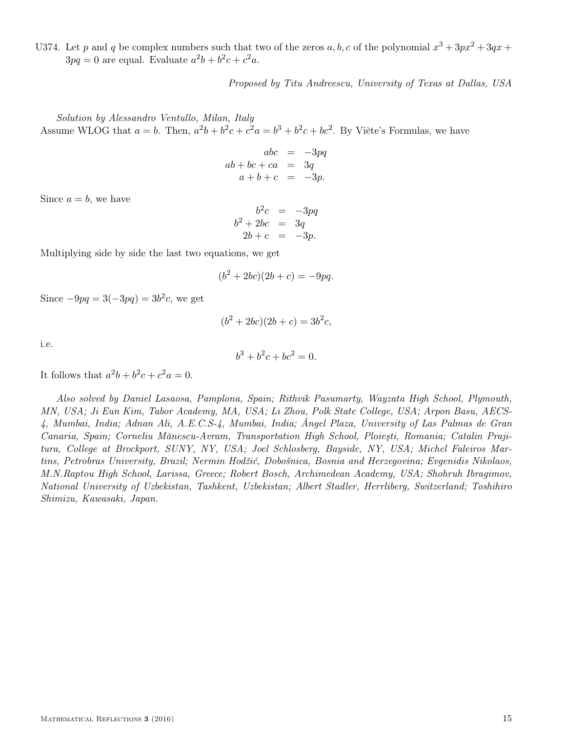U374. Let p and q be complex numbers such that two of the zeros  $a, b, c$  of the polynomial  $x^3 + 3px^2 + 3qx +$  $3pq = 0$  are equal. Evaluate  $a^2b + b^2c + c^2a$ .

Proposed by Titu Andreescu, University of Texas at Dallas, USA

Solution by Alessandro Ventullo, Milan, Italy Assume WLOG that  $a = b$ . Then,  $a^2b + b^2c + c^2a = b^3 + b^2c + bc^2$ . By Viète's Formulas, we have

$$
abc = -3pq
$$
  
\n
$$
ab + bc + ca = 3q
$$
  
\n
$$
a + b + c = -3p.
$$

Since  $a = b$ , we have

$$
b2c = -3pq
$$
  

$$
b2 + 2bc = 3q
$$
  

$$
2b + c = -3p.
$$

Multiplying side by side the last two equations, we get

$$
(b^2 + 2bc)(2b + c) = -9pq.
$$

Since  $-9pq = 3(-3pq) = 3b^2c$ , we get

$$
(b^2 + 2bc)(2b + c) = 3b^2c,
$$

i.e.

$$
b^3 + b^2c + bc^2 = 0.
$$

It follows that  $a^2b + b^2c + c^2a = 0$ .

Also solved by Daniel Lasaosa, Pamplona, Spain; Rithvik Pasumarty, Wayzata High School, Plymouth, MN, USA; Ji Eun Kim, Tabor Academy, MA, USA; Li Zhou, Polk State College, USA; Arpon Basu, AECS-4, Mumbai, India; Adnan Ali, A.E.C.S-4, Mumbai, India; Ángel Plaza, University of Las Palmas de Gran Canaria, Spain; Corneliu Mănescu-Avram, Transportation High School, Ploieşti, Romania; Catalin Prajitura, College at Brockport, SUNY, NY, USA; Joel Schlosberg, Bayside, NY, USA; Michel Faleiros Martins, Petrobras University, Brazil; Nermin Hodžić, Dobošnica, Bosnia and Herzegovina; Evgenidis Nikolaos, M.N.Raptou High School, Larissa, Greece; Robert Bosch, Archimedean Academy, USA; Shohruh Ibragimov, National University of Uzbekistan, Tashkent, Uzbekistan; Albert Stadler, Herrliberg, Switzerland; Toshihiro Shimizu, Kawasaki, Japan.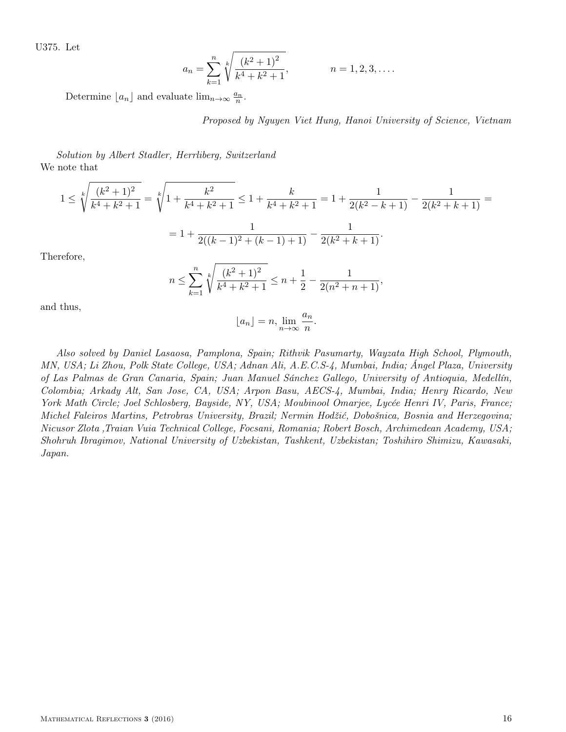U375. Let

$$
a_n = \sum_{k=1}^n \sqrt[k]{\frac{(k^2+1)^2}{k^4+k^2+1}}, \qquad n = 1, 2, 3, \dots
$$

Determine  $\lfloor a_n \rfloor$  and evaluate  $\lim_{n \to \infty} \frac{a_n}{n}$ .

Proposed by Nguyen Viet Hung, Hanoi University of Science, Vietnam

Solution by Albert Stadler, Herrliberg, Switzerland We note that

$$
1 \le \sqrt[k]{\frac{(k^2+1)^2}{k^4+k^2+1}} = \sqrt[k]{1+\frac{k^2}{k^4+k^2+1}} \le 1+\frac{k}{k^4+k^2+1} = 1+\frac{1}{2(k^2-k+1)}-\frac{1}{2(k^2+k+1)} =
$$

$$
= 1+\frac{1}{2((k-1)^2+(k-1)+1)}-\frac{1}{2(k^2+k+1)}.
$$
  
refore,

The

$$
n \le \sum_{k=1}^n \sqrt[k]{\frac{(k^2+1)^2}{k^4+k^2+1}} \le n + \frac{1}{2} - \frac{1}{2(n^2+n+1)},
$$

and thus,

$$
\lfloor a_n \rfloor = n, \lim_{n \to \infty} \frac{a_n}{n}.
$$

Also solved by Daniel Lasaosa, Pamplona, Spain; Rithvik Pasumarty, Wayzata High School, Plymouth, MN, USA; Li Zhou, Polk State College, USA; Adnan Ali, A.E.C.S-4, Mumbai, India; Ángel Plaza, University of Las Palmas de Gran Canaria, Spain; Juan Manuel Sánchez Gallego, University of Antioquia, Medellín, Colombia; Arkady Alt, San Jose, CA, USA; Arpon Basu, AECS-4, Mumbai, India; Henry Ricardo, New York Math Circle; Joel Schlosberg, Bayside, NY, USA; Moubinool Omarjee, Lycée Henri IV, Paris, France; Michel Faleiros Martins, Petrobras University, Brazil; Nermin Hodžić, Dobošnica, Bosnia and Herzegovina; Nicusor Zlota 'Traian Vuia Technical College, Focsani, Romania; Robert Bosch, Archimedean Academy, USA; Shohruh Ibragimov, National University of Uzbekistan, Tashkent, Uzbekistan; Toshihiro Shimizu, Kawasaki, Japan.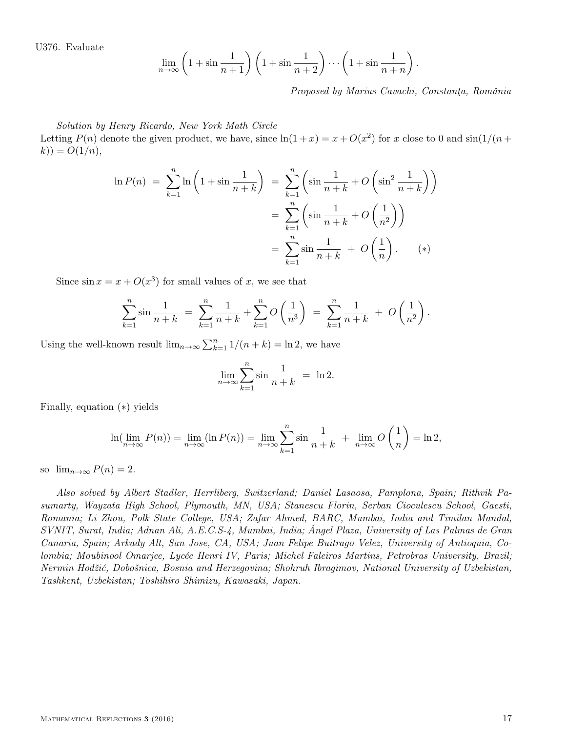U376. Evaluate

$$
\lim_{n \to \infty} \left( 1 + \sin \frac{1}{n+1} \right) \left( 1 + \sin \frac{1}{n+2} \right) \cdots \left( 1 + \sin \frac{1}{n+n} \right).
$$

Proposed by Marius Cavachi, Constanţa, România

Solution by Henry Ricardo, New York Math Circle

Letting  $P(n)$  denote the given product, we have, since  $\ln(1+x) = x + O(x^2)$  for x close to 0 and  $\sin(1/(n+x))$  $k) = O(1/n),$ 

$$
\ln P(n) = \sum_{k=1}^{n} \ln \left( 1 + \sin \frac{1}{n+k} \right) = \sum_{k=1}^{n} \left( \sin \frac{1}{n+k} + O\left(\sin^2 \frac{1}{n+k}\right) \right)
$$

$$
= \sum_{k=1}^{n} \left( \sin \frac{1}{n+k} + O\left(\frac{1}{n^2}\right) \right)
$$

$$
= \sum_{k=1}^{n} \sin \frac{1}{n+k} + O\left(\frac{1}{n}\right). \qquad (*)
$$

Since  $\sin x = x + O(x^3)$  for small values of x, we see that

$$
\sum_{k=1}^{n} \sin \frac{1}{n+k} = \sum_{k=1}^{n} \frac{1}{n+k} + \sum_{k=1}^{n} O\left(\frac{1}{n^3}\right) = \sum_{k=1}^{n} \frac{1}{n+k} + O\left(\frac{1}{n^2}\right).
$$

Using the well-known result  $\lim_{n\to\infty}\sum_{k=1}^n 1/(n+k) = \ln 2$ , we have

$$
\lim_{n \to \infty} \sum_{k=1}^{n} \sin \frac{1}{n+k} = \ln 2.
$$

Finally, equation (∗) yields

$$
\ln(\lim_{n \to \infty} P(n)) = \lim_{n \to \infty} (\ln P(n)) = \lim_{n \to \infty} \sum_{k=1}^{n} \sin \frac{1}{n+k} + \lim_{n \to \infty} O\left(\frac{1}{n}\right) = \ln 2,
$$

so  $\lim_{n\to\infty} P(n) = 2$ .

Also solved by Albert Stadler, Herrliberg, Switzerland; Daniel Lasaosa, Pamplona, Spain; Rithvik Pasumarty, Wayzata High School, Plymouth, MN, USA; Stanescu Florin, Serban Cioculescu School, Gaesti, Romania; Li Zhou, Polk State College, USA; Zafar Ahmed, BARC, Mumbai, India and Timilan Mandal, SVNIT, Surat, India; Adnan Ali, A.E.C.S-4, Mumbai, India; Ángel Plaza, University of Las Palmas de Gran Canaria, Spain; Arkady Alt, San Jose, CA, USA; Juan Felipe Buitrago Velez, University of Antioquia, Colombia; Moubinool Omarjee, Lycée Henri IV, Paris; Michel Faleiros Martins, Petrobras University, Brazil; Nermin Hodžić, Dobošnica, Bosnia and Herzegovina; Shohruh Ibragimov, National University of Uzbekistan, Tashkent, Uzbekistan; Toshihiro Shimizu, Kawasaki, Japan.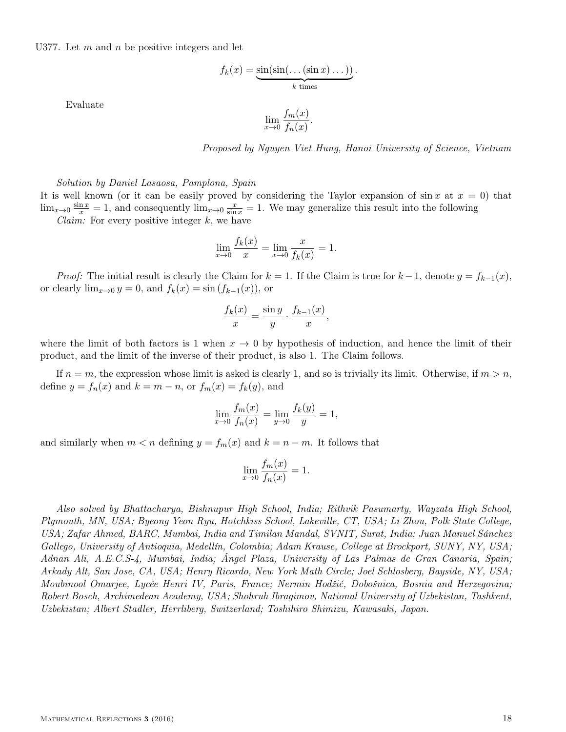U377. Let  $m$  and  $n$  be positive integers and let

$$
f_k(x) = \underbrace{\sin(\sin(\dots(\sin x)\dots))}_{k \text{ times}}.
$$

Evaluate

$$
\lim_{x \to 0} \frac{f_m(x)}{f_n(x)}.
$$

Proposed by Nguyen Viet Hung, Hanoi University of Science, Vietnam

Solution by Daniel Lasaosa, Pamplona, Spain

It is well known (or it can be easily proved by considering the Taylor expansion of  $\sin x$  at  $x = 0$ ) that  $\lim_{x\to 0} \frac{\sin x}{x} = 1$ , and consequently  $\lim_{x\to 0} \frac{x}{\sin x} = 1$ . We may generalize this result into the following

*Claim:* For every positive integer  $k$ , we have

$$
\lim_{x \to 0} \frac{f_k(x)}{x} = \lim_{x \to 0} \frac{x}{f_k(x)} = 1.
$$

*Proof:* The initial result is clearly the Claim for  $k = 1$ . If the Claim is true for  $k - 1$ , denote  $y = f_{k-1}(x)$ , or clearly  $\lim_{x\to 0} y = 0$ , and  $f_k(x) = \sin(f_{k-1}(x))$ , or

$$
\frac{f_k(x)}{x} = \frac{\sin y}{y} \cdot \frac{f_{k-1}(x)}{x},
$$

where the limit of both factors is 1 when  $x \to 0$  by hypothesis of induction, and hence the limit of their product, and the limit of the inverse of their product, is also 1. The Claim follows.

If  $n = m$ , the expression whose limit is asked is clearly 1, and so is trivially its limit. Otherwise, if  $m > n$ , define  $y = f_n(x)$  and  $k = m - n$ , or  $f_m(x) = f_k(y)$ , and

$$
\lim_{x \to 0} \frac{f_m(x)}{f_n(x)} = \lim_{y \to 0} \frac{f_k(y)}{y} = 1,
$$

and similarly when  $m < n$  defining  $y = f_m(x)$  and  $k = n - m$ . It follows that

$$
\lim_{x \to 0} \frac{f_m(x)}{f_n(x)} = 1.
$$

Also solved by Bhattacharya, Bishnupur High School, India; Rithvik Pasumarty, Wayzata High School, Plymouth, MN, USA; Byeong Yeon Ryu, Hotchkiss School, Lakeville, CT, USA; Li Zhou, Polk State College, USA; Zafar Ahmed, BARC, Mumbai, India and Timilan Mandal, SVNIT, Surat, India; Juan Manuel Sánchez Gallego, University of Antioquia, Medellín, Colombia; Adam Krause, College at Brockport, SUNY, NY, USA; Adnan Ali, A.E.C.S-4, Mumbai, India; Ángel Plaza, University of Las Palmas de Gran Canaria, Spain; Arkady Alt, San Jose, CA, USA; Henry Ricardo, New York Math Circle; Joel Schlosberg, Bayside, NY, USA; Moubinool Omarjee, Lycée Henri IV, Paris, France; Nermin Hodžić, Dobošnica, Bosnia and Herzegovina; Robert Bosch, Archimedean Academy, USA; Shohruh Ibragimov, National University of Uzbekistan, Tashkent, Uzbekistan; Albert Stadler, Herrliberg, Switzerland; Toshihiro Shimizu, Kawasaki, Japan.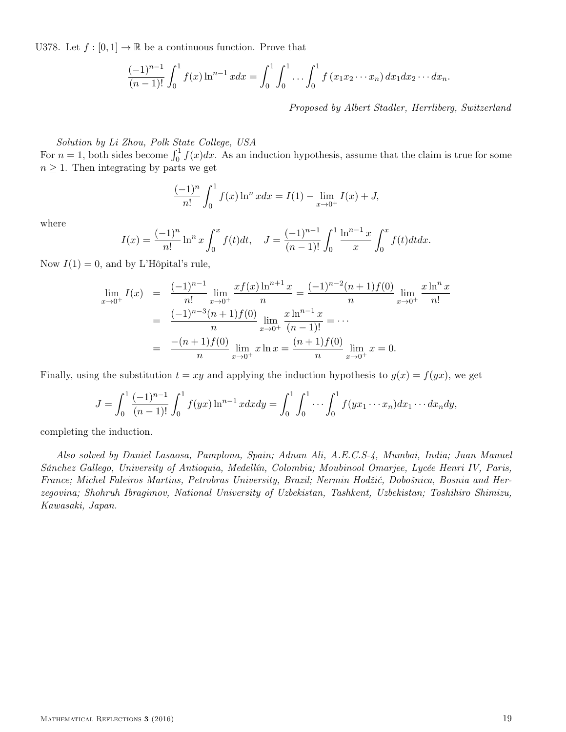U378. Let  $f : [0, 1] \to \mathbb{R}$  be a continuous function. Prove that

$$
\frac{(-1)^{n-1}}{(n-1)!} \int_0^1 f(x) \ln^{n-1} x dx = \int_0^1 \int_0^1 \ldots \int_0^1 f(x_1 x_2 \cdots x_n) dx_1 dx_2 \cdots dx_n.
$$

Proposed by Albert Stadler, Herrliberg, Switzerland

Solution by Li Zhou, Polk State College, USA

For  $n=1$ , both sides become  $\int_0^1 f(x)dx$ . As an induction hypothesis, assume that the claim is true for some  $n \geq 1$ . Then integrating by parts we get

$$
\frac{(-1)^n}{n!} \int_0^1 f(x) \ln^n x dx = I(1) - \lim_{x \to 0^+} I(x) + J,
$$

where

$$
I(x) = \frac{(-1)^n}{n!} \ln^n x \int_0^x f(t)dt, \quad J = \frac{(-1)^{n-1}}{(n-1)!} \int_0^1 \frac{\ln^{n-1} x}{x} \int_0^x f(t)dt dx.
$$

Now  $I(1) = 0$ , and by L'Hôpital's rule,

$$
\lim_{x \to 0^{+}} I(x) = \frac{(-1)^{n-1}}{n!} \lim_{x \to 0^{+}} \frac{xf(x) \ln^{n+1} x}{n} = \frac{(-1)^{n-2} (n+1) f(0)}{n} \lim_{x \to 0^{+}} \frac{x \ln^{n} x}{n!}
$$

$$
= \frac{(-1)^{n-3} (n+1) f(0)}{n} \lim_{x \to 0^{+}} \frac{x \ln^{n-1} x}{(n-1)!} = \cdots
$$

$$
= \frac{-(n+1) f(0)}{n} \lim_{x \to 0^{+}} x \ln x = \frac{(n+1) f(0)}{n} \lim_{x \to 0^{+}} x = 0.
$$

Finally, using the substitution  $t = xy$  and applying the induction hypothesis to  $g(x) = f(yx)$ , we get

$$
J = \int_0^1 \frac{(-1)^{n-1}}{(n-1)!} \int_0^1 f(yx) \ln^{n-1} x dx dy = \int_0^1 \int_0^1 \cdots \int_0^1 f(yx_1 \cdots x_n) dx_1 \cdots dx_n dy,
$$

completing the induction.

Also solved by Daniel Lasaosa, Pamplona, Spain; Adnan Ali, A.E.C.S-4, Mumbai, India; Juan Manuel Sánchez Gallego, University of Antioquia, Medellín, Colombia; Moubinool Omarjee, Lycée Henri IV, Paris, France; Michel Faleiros Martins, Petrobras University, Brazil; Nermin Hodžić, Dobošnica, Bosnia and Herzegovina; Shohruh Ibragimov, National University of Uzbekistan, Tashkent, Uzbekistan; Toshihiro Shimizu, Kawasaki, Japan.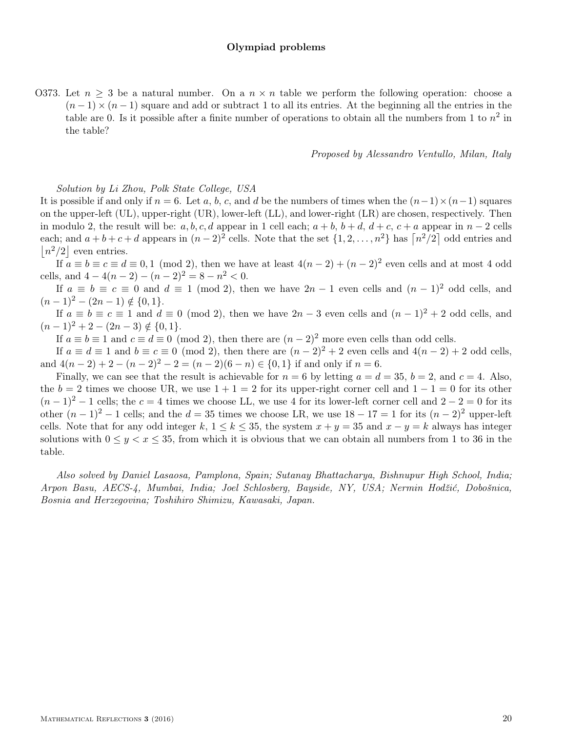## Olympiad problems

O373. Let  $n \geq 3$  be a natural number. On a  $n \times n$  table we perform the following operation: choose a  $(n-1) \times (n-1)$  square and add or subtract 1 to all its entries. At the beginning all the entries in the table are 0. Is it possible after a finite number of operations to obtain all the numbers from 1 to  $n^2$  in the table?

### Proposed by Alessandro Ventullo, Milan, Italy

## Solution by Li Zhou, Polk State College, USA

It is possible if and only if  $n = 6$ . Let a, b, c, and d be the numbers of times when the  $(n-1) \times (n-1)$  squares on the upper-left (UL), upper-right (UR), lower-left (LL), and lower-right (LR) are chosen, respectively. Then in modulo 2, the result will be:  $a, b, c, d$  appear in 1 cell each;  $a + b, b + d, d + c, c + a$  appear in  $n - 2$  cells each; and  $a+b+c+d$  appears in  $(n-2)^2$  cells. Note that the set  $\{1,2,\ldots,n^2\}$  has  $\lceil n^2/2 \rceil$  odd entries and  $|n^2/2|$  even entries.

If  $a \equiv b \equiv c \equiv d \equiv 0,1 \pmod{2}$ , then we have at least  $4(n-2) + (n-2)^2$  even cells and at most 4 odd cells, and  $4-4(n-2)-(n-2)^2=8-n^2<0$ .

If  $a \equiv b \equiv c \equiv 0$  and  $d \equiv 1 \pmod{2}$ , then we have  $2n - 1$  even cells and  $(n - 1)^2$  odd cells, and  $(n-1)^2 - (2n-1) \notin \{0,1\}.$ 

If  $a \equiv b \equiv c \equiv 1$  and  $d \equiv 0 \pmod{2}$ , then we have  $2n-3$  even cells and  $(n-1)^2+2$  odd cells, and  $(n-1)^2 + 2 - (2n-3) \notin \{0,1\}.$ 

If  $a \equiv b \equiv 1$  and  $c \equiv d \equiv 0 \pmod{2}$ , then there are  $(n-2)^2$  more even cells than odd cells.

If  $a \equiv d \equiv 1$  and  $b \equiv c \equiv 0 \pmod{2}$ , then there are  $(n-2)^2 + 2$  even cells and  $4(n-2) + 2$  odd cells, and  $4(n-2)+2-(n-2)^2-2=(n-2)(6-n) \in \{0,1\}$  if and only if  $n=6$ .

Finally, we can see that the result is achievable for  $n = 6$  by letting  $a = d = 35$ ,  $b = 2$ , and  $c = 4$ . Also, the  $b = 2$  times we choose UR, we use  $1 + 1 = 2$  for its upper-right corner cell and  $1 - 1 = 0$  for its other  $(n-1)^2-1$  cells; the  $c=4$  times we choose LL, we use 4 for its lower-left corner cell and  $2-2=0$  for its other  $(n-1)^2-1$  cells; and the  $d=35$  times we choose LR, we use  $18-17=1$  for its  $(n-2)^2$  upper-left cells. Note that for any odd integer k,  $1 \le k \le 35$ , the system  $x + y = 35$  and  $x - y = k$  always has integer solutions with  $0 \le y < x \le 35$ , from which it is obvious that we can obtain all numbers from 1 to 36 in the table.

Also solved by Daniel Lasaosa, Pamplona, Spain; Sutanay Bhattacharya, Bishnupur High School, India; Arpon Basu, AECS-4, Mumbai, India; Joel Schlosberg, Bayside, NY, USA; Nermin Hodžić, Dobošnica, Bosnia and Herzegovina; Toshihiro Shimizu, Kawasaki, Japan.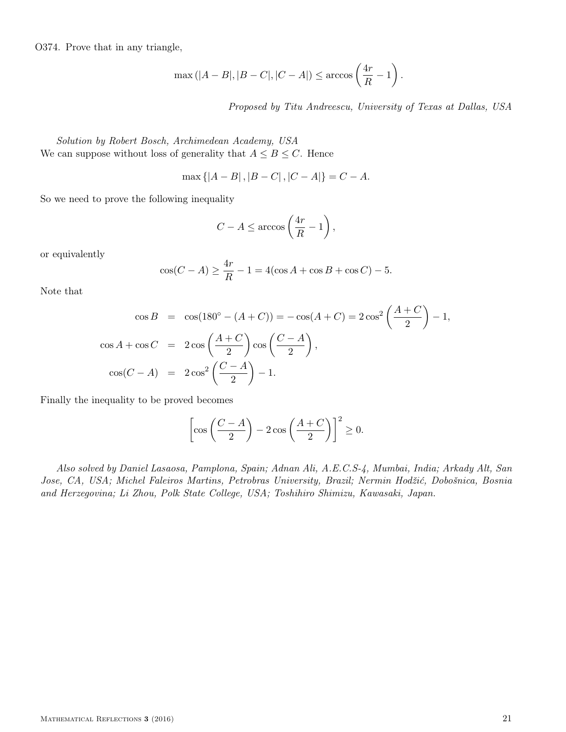O374. Prove that in any triangle,

$$
\max(|A - B|, |B - C|, |C - A|) \le \arccos\left(\frac{4r}{R} - 1\right).
$$

Proposed by Titu Andreescu, University of Texas at Dallas, USA

Solution by Robert Bosch, Archimedean Academy, USA We can suppose without loss of generality that  $A \leq B \leq C$ . Hence

$$
\max\{|A - B|, |B - C|, |C - A|\} = C - A.
$$

So we need to prove the following inequality

$$
C - A \le \arccos\left(\frac{4r}{R} - 1\right),\,
$$

or equivalently

$$
\cos(C - A) \ge \frac{4r}{R} - 1 = 4(\cos A + \cos B + \cos C) - 5.
$$

Note that

$$
\cos B = \cos(180^\circ - (A + C)) = -\cos(A + C) = 2\cos^2\left(\frac{A + C}{2}\right) - 1,
$$
  

$$
\cos A + \cos C = 2\cos\left(\frac{A + C}{2}\right)\cos\left(\frac{C - A}{2}\right),
$$
  

$$
\cos(C - A) = 2\cos^2\left(\frac{C - A}{2}\right) - 1.
$$

Finally the inequality to be proved becomes

$$
\left[\cos\left(\frac{C-A}{2}\right) - 2\cos\left(\frac{A+C}{2}\right)\right]^2 \ge 0.
$$

Also solved by Daniel Lasaosa, Pamplona, Spain; Adnan Ali, A.E.C.S-4, Mumbai, India; Arkady Alt, San Jose, CA, USA; Michel Faleiros Martins, Petrobras University, Brazil; Nermin Hodžić, Dobošnica, Bosnia and Herzegovina; Li Zhou, Polk State College, USA; Toshihiro Shimizu, Kawasaki, Japan.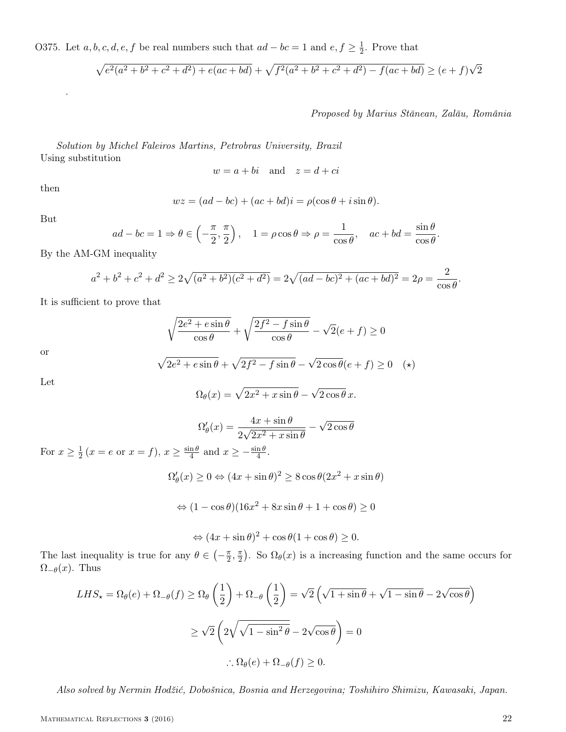O375. Let  $a, b, c, d, e, f$  be real numbers such that  $ad - bc = 1$  and  $e, f \geq \frac{1}{2}$  $\frac{1}{2}$ . Prove that

$$
\sqrt{e^2(a^2+b^2+c^2+d^2)+e(ac+bd)} + \sqrt{f^2(a^2+b^2+c^2+d^2)-f(ac+bd)} \ge (e+f)\sqrt{2}
$$

Proposed by Marius Stănean, Zalău, România

Solution by Michel Faleiros Martins, Petrobras University, Brazil Using substitution

$$
w = a + bi
$$
 and  $z = d + ci$ 

then

.

$$
wz = (ad - bc) + (ac + bd)i = \rho(\cos\theta + i\sin\theta).
$$

But

$$
ad - bc = 1 \Rightarrow \theta \in \left(-\frac{\pi}{2}, \frac{\pi}{2}\right), \quad 1 = \rho \cos \theta \Rightarrow \rho = \frac{1}{\cos \theta}, \quad ac + bd = \frac{\sin \theta}{\cos \theta}.
$$

By the AM-GM inequality

$$
a^{2} + b^{2} + c^{2} + d^{2} \ge 2\sqrt{(a^{2} + b^{2})(c^{2} + d^{2})} = 2\sqrt{(ad - bc)^{2} + (ac + bd)^{2}} = 2\rho = \frac{2}{\cos\theta}.
$$

It is sufficient to prove that

$$
\sqrt{\frac{2e^2 + e\sin\theta}{\cos\theta}} + \sqrt{\frac{2f^2 - f\sin\theta}{\cos\theta}} - \sqrt{2}(e+f) \ge 0
$$

or

$$
\sqrt{2e^2 + e\sin\theta} + \sqrt{2f^2 - f\sin\theta} - \sqrt{2\cos\theta}(e+f) \ge 0 \quad (*)
$$

Let

$$
\Omega_{\theta}(x) = \sqrt{2x^2 + x\sin\theta} - \sqrt{2\cos\theta} x.
$$

$$
\Omega_{\theta}'(x) = \frac{4x + \sin \theta}{2\sqrt{2x^2 + x \sin \theta}} - \sqrt{2\cos \theta}
$$

For  $x \geq \frac{1}{2}$  $\frac{1}{2}(x = e \text{ or } x = f), x \ge \frac{\sin \theta}{4}$  $rac{\text{ln }\theta}{4}$  and  $x \geq -\frac{\sin \theta}{4}$ .

$$
\Omega_{\theta}'(x) \ge 0 \Leftrightarrow (4x + \sin \theta)^2 \ge 8 \cos \theta (2x^2 + x \sin \theta)
$$

$$
\Leftrightarrow (1 - \cos \theta)(16x^2 + 8x \sin \theta + 1 + \cos \theta) \ge 0
$$

$$
\Leftrightarrow (4x + \sin \theta)^2 + \cos \theta (1 + \cos \theta) \ge 0.
$$

The last inequality is true for any  $\theta \in \left(-\frac{\pi}{2}\right)$  $\frac{\pi}{2}$ ,  $\frac{\pi}{2}$  $\frac{\pi}{2}$ ). So  $\Omega_{\theta}(x)$  is a increasing function and the same occurs for  $\Omega_{-\theta}(x)$ . Thus

$$
LHS_{\star} = \Omega_{\theta}(e) + \Omega_{-\theta}(f) \ge \Omega_{\theta}\left(\frac{1}{2}\right) + \Omega_{-\theta}\left(\frac{1}{2}\right) = \sqrt{2}\left(\sqrt{1 + \sin \theta} + \sqrt{1 - \sin \theta} - 2\sqrt{\cos \theta}\right)
$$
  

$$
\ge \sqrt{2}\left(2\sqrt{\sqrt{1 - \sin^{2} \theta}} - 2\sqrt{\cos \theta}\right) = 0
$$
  

$$
\therefore \Omega_{\theta}(e) + \Omega_{-\theta}(f) \ge 0.
$$

Also solved by Nermin Hodžić, Dobošnica, Bosnia and Herzegovina; Toshihiro Shimizu, Kawasaki, Japan.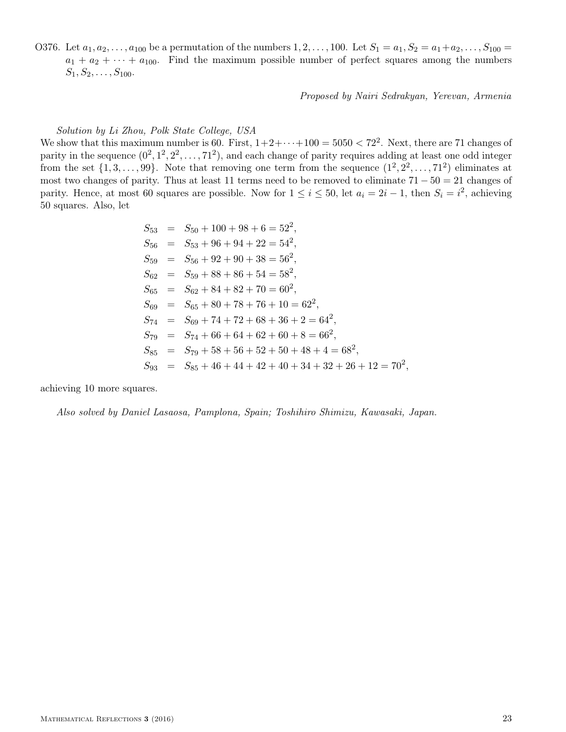O376. Let  $a_1, a_2, \ldots, a_{100}$  be a permutation of the numbers  $1, 2, \ldots, 100$ . Let  $S_1 = a_1, S_2 = a_1 + a_2, \ldots, S_{100} =$  $a_1 + a_2 + \cdots + a_{100}$ . Find the maximum possible number of perfect squares among the numbers  $S_1, S_2, \ldots, S_{100}.$ 

Proposed by Nairi Sedrakyan, Yerevan, Armenia

### Solution by Li Zhou, Polk State College, USA

We show that this maximum number is 60. First,  $1+2+\cdots+100 = 5050 < 72^2$ . Next, there are 71 changes of parity in the sequence  $(0^2, 1^2, 2^2, \ldots, 71^2)$ , and each change of parity requires adding at least one odd integer from the set  $\{1, 3, \ldots, 99\}$ . Note that removing one term from the sequence  $(1^2, 2^2, \ldots, 71^2)$  eliminates at most two changes of parity. Thus at least 11 terms need to be removed to eliminate  $71 - 50 = 21$  changes of parity. Hence, at most 60 squares are possible. Now for  $1 \le i \le 50$ , let  $a_i = 2i - 1$ , then  $S_i = i^2$ , achieving 50 squares. Also, let

$$
S_{53} = S_{50} + 100 + 98 + 6 = 522,\nS_{56} = S_{53} + 96 + 94 + 22 = 542,\nS_{59} = S_{56} + 92 + 90 + 38 = 562,\nS_{62} = S_{59} + 88 + 86 + 54 = 582,\nS_{65} = S_{62} + 84 + 82 + 70 = 602,\nS_{69} = S_{65} + 80 + 78 + 76 + 10 = 622,\nS_{74} = S_{69} + 74 + 72 + 68 + 36 + 2 = 642,\nS_{79} = S_{74} + 66 + 64 + 62 + 60 + 8 = 662,\nS_{85} = S_{79} + 58 + 56 + 52 + 50 + 48 + 4 = 682,\nS_{93} = S_{85} + 46 + 44 + 42 + 40 + 34 + 32 + 26 + 12 = 702,
$$

achieving 10 more squares.

Also solved by Daniel Lasaosa, Pamplona, Spain; Toshihiro Shimizu, Kawasaki, Japan.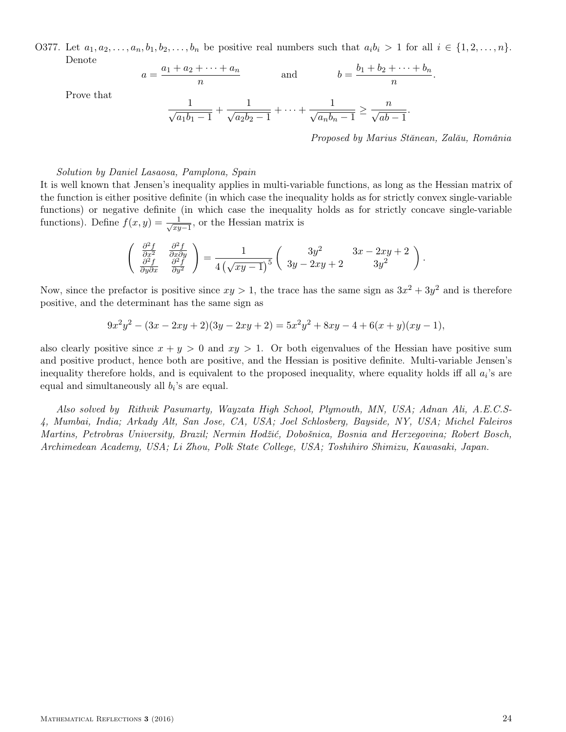O377. Let  $a_1, a_2, \ldots, a_n, b_1, b_2, \ldots, b_n$  be positive real numbers such that  $a_i b_i > 1$  for all  $i \in \{1, 2, \ldots, n\}$ . Denote

$$
a = \frac{a_1 + a_2 + \dots + a_n}{n} \qquad \text{and} \qquad b = \frac{b_1 + b_2 + \dots + b_n}{n}
$$

Prove that

$$
\frac{1}{\sqrt{a_1b_1-1}} + \frac{1}{\sqrt{a_2b_2-1}} + \dots + \frac{1}{\sqrt{a_nb_n-1}} \ge \frac{n}{\sqrt{ab-1}}.
$$

Proposed by Marius Stănean, Zalău, România

.

## Solution by Daniel Lasaosa, Pamplona, Spain

It is well known that Jensen's inequality applies in multi-variable functions, as long as the Hessian matrix of the function is either positive definite (in which case the inequality holds as for strictly convex single-variable functions) or negative definite (in which case the inequality holds as for strictly concave single-variable functions). Define  $f(x, y) = \frac{1}{\sqrt{x}}$  $\frac{1}{xy-1}$ , or the Hessian matrix is

$$
\begin{pmatrix}\n\frac{\partial^2 f}{\partial x^2} & \frac{\partial^2 f}{\partial x \partial y} \\
\frac{\partial^2 f}{\partial y \partial x} & \frac{\partial^2 f}{\partial y^2}\n\end{pmatrix} = \frac{1}{4(\sqrt{xy-1})^5} \begin{pmatrix}\n3y^2 & 3x - 2xy + 2 \\
3y - 2xy + 2 & 3y^2\n\end{pmatrix}.
$$

Now, since the prefactor is positive since  $xy > 1$ , the trace has the same sign as  $3x^2 + 3y^2$  and is therefore positive, and the determinant has the same sign as

$$
9x2y2 - (3x - 2xy + 2)(3y - 2xy + 2) = 5x2y2 + 8xy - 4 + 6(x + y)(xy - 1),
$$

also clearly positive since  $x + y > 0$  and  $xy > 1$ . Or both eigenvalues of the Hessian have positive sum and positive product, hence both are positive, and the Hessian is positive definite. Multi-variable Jensen's inequality therefore holds, and is equivalent to the proposed inequality, where equality holds iff all  $a_i$ 's are equal and simultaneously all  $b_i$ 's are equal.

Also solved by Rithvik Pasumarty, Wayzata High School, Plymouth, MN, USA; Adnan Ali, A.E.C.S-4, Mumbai, India; Arkady Alt, San Jose, CA, USA; Joel Schlosberg, Bayside, NY, USA; Michel Faleiros Martins, Petrobras University, Brazil; Nermin Hodžić, Dobošnica, Bosnia and Herzegovina; Robert Bosch, Archimedean Academy, USA; Li Zhou, Polk State College, USA; Toshihiro Shimizu, Kawasaki, Japan.